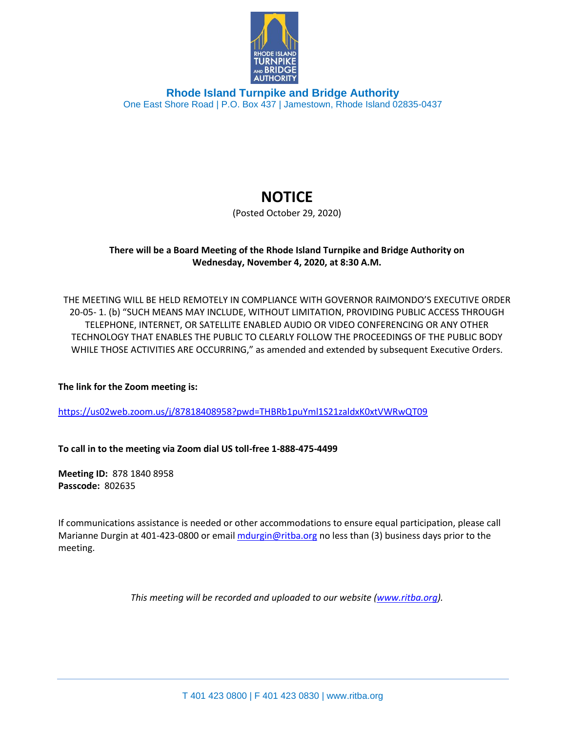

**Rhode Island Turnpike and Bridge Authority** One East Shore Road | P.O. Box 437 | Jamestown, Rhode Island 02835-0437

## **NOTICE**

(Posted October 29, 2020)

## **There will be a Board Meeting of the Rhode Island Turnpike and Bridge Authority on Wednesday, November 4, 2020, at 8:30 A.M.**

THE MEETING WILL BE HELD REMOTELY IN COMPLIANCE WITH GOVERNOR RAIMONDO'S EXECUTIVE ORDER 20-05- 1. (b) "SUCH MEANS MAY INCLUDE, WITHOUT LIMITATION, PROVIDING PUBLIC ACCESS THROUGH TELEPHONE, INTERNET, OR SATELLITE ENABLED AUDIO OR VIDEO CONFERENCING OR ANY OTHER TECHNOLOGY THAT ENABLES THE PUBLIC TO CLEARLY FOLLOW THE PROCEEDINGS OF THE PUBLIC BODY WHILE THOSE ACTIVITIES ARE OCCURRING," as amended and extended by subsequent Executive Orders.

**The link for the Zoom meeting is:** 

<https://us02web.zoom.us/j/87818408958?pwd=THBRb1puYml1S21zaldxK0xtVWRwQT09>

**To call in to the meeting via Zoom dial US toll-free 1-888-475-4499**

**Meeting ID:** 878 1840 8958 **Passcode:** 802635

If communications assistance is needed or other accommodations to ensure equal participation, please call Marianne Durgin at 401-423-0800 or email [mdurgin@ritba.org](mailto:mdurgin@ritba.org) no less than (3) business days prior to the meeting.

*This meeting will be recorded and uploaded to our website [\(www.ritba.org\)](http://www.ritba.org/).*